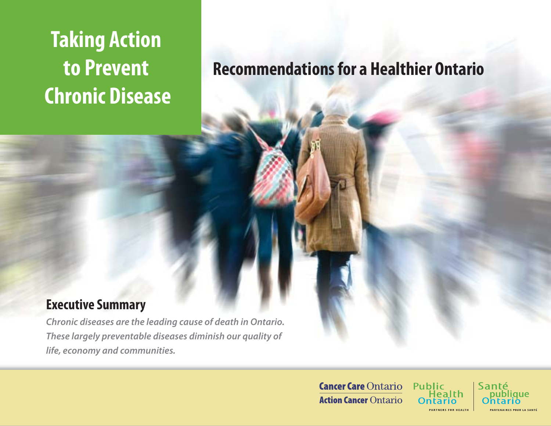# **Taking Action to Prevent Chronic Disease**

## **Recommendations for a Healthier Ontario**

## **Executive Summary**

*Chronic diseases are the leading cause of death in Ontario. These largely preventable diseases diminish our quality of life, economy and communities.* 

> **Cancer Care Ontario Action Cancer Ontario**

Public Santé lealth

que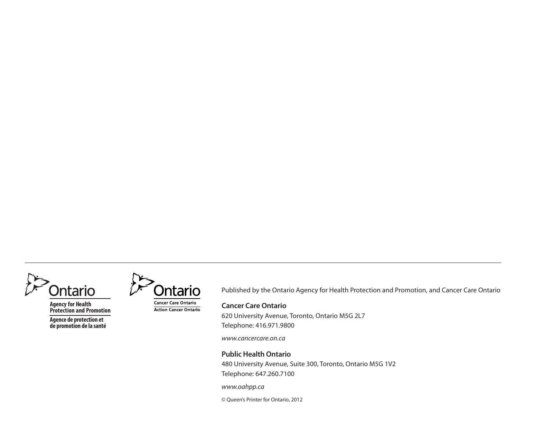

**Agency for Health Protection and Promotion**

**Agence de protection et de promotion de la santé**



**Action Cancer Ontario** 

Published by the Ontario Agency for Health Protection and Promotion, and Cancer Care Ontario

#### **Cancer Care Ontario**

620 University Avenue, Toronto, Ontario M5G 2L7 Telephone: 416.971.9800

www.cancercare.on.ca

#### **Public Health Ontario**

480 University Avenue, Suite 300, Toronto, Ontario M5G 1V2 Telephone: 647.260.7100

#### www.oahpp.ca

© Queen's Printer for Ontario, 2012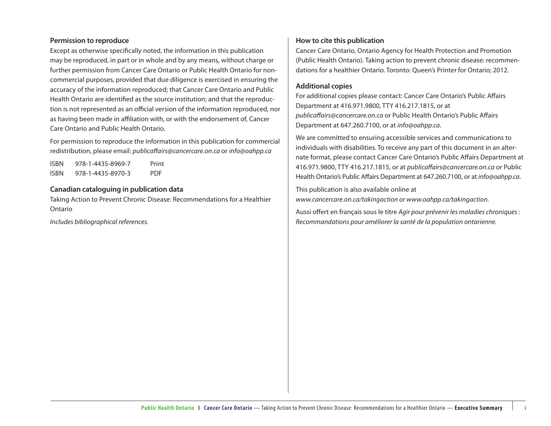#### **Permission to reproduce**

Except as otherwise specifically noted, the information in this publication may be reproduced, in part or in whole and by any means, without charge or further permission from Cancer Care Ontario or Public Health Ontario for noncommercial purposes, provided that due diligence is exercised in ensuring the accuracy of the information reproduced; that Cancer Care Ontario and Public Health Ontario are identified as the source institution; and that the reproduction is not represented as an official version of the information reproduced, nor as having been made in affiliation with, or with the endorsement of, Cancer Care Ontario and Public Health Ontario.

For permission to reproduce the information in this publication for commercial redistribution, please email: publicaffairs@cancercare.on.ca or info@oahpp.ca

| ISBN | 978-1-4435-8969-7 | Print      |
|------|-------------------|------------|
| ISBN | 978-1-4435-8970-3 | <b>PDF</b> |

#### **Canadian cataloguing in publication data**

Taking Action to Prevent Chronic Disease: Recommendations for a Healthier Ontario

Includes bibliographical references.

#### **How to cite this publication**

Cancer Care Ontario, Ontario Agency for Health Protection and Promotion (Public Health Ontario). Taking action to prevent chronic disease: recommendations for a healthier Ontario. Toronto: Queen's Printer for Ontario; 2012.

#### **Additional copies**

For additional copies please contact: Cancer Care Ontario's Public Affairs Department at 416.971.9800, TTY 416.217.1815, or at publicaffairs@cancercare.on.ca or Public Health Ontario's Public Affairs Department at 647.260.7100, or at info@oahpp.ca.

We are committed to ensuring accessible services and communications to individuals with disabilities. To receive any part of this document in an alternate format, please contact Cancer Care Ontario's Public Affairs Department at 416.971.9800, TTY 416.217.1815, or at publicaffairs@cancercare.on.ca or Public Health Ontario's Public Affairs Department at 647.260.7100, or at info@oahpp.ca.

This publication is also available online at www.cancercare.on.ca/takingaction or www.oahpp.ca/takingaction.

Aussi offert en français sous le titre Agir pour prévenir les maladies chroniques : Recommandations pour améliorer la santé de la population ontarienne.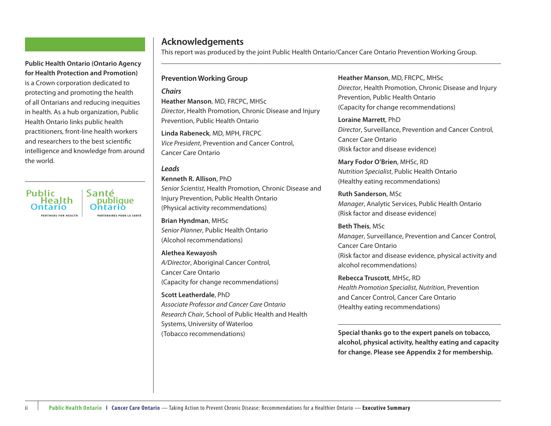#### **Public Health Ontario I Cancer Care Ontario** — Taking Action to Prevent Chronic Disease: Recommendations for a Healthier Ontario — **Executive Summary**

**Public Health Ontario (Ontario Agency for Health Protection and Promotion)** is a Crown corporation dedicated to protecting and promoting the health of all Ontarians and reducing inequities in health. As a hub organization, Public Health Ontario links public health practitioners, front-line health workers and researchers to the best scientific intelligence and knowledge from around the world.

Public Santé Health publique<br>Intario **IRTNERS FOR HEALTH PARTENAIRES POUR LA SANTÉ** 

ii

#### **Acknowledgements**

This report was produced by the joint Public Health Ontario/Cancer Care Ontario Prevention Working Group.

#### **Prevention Working Group**

#### *Chairs*

**Heather Manson**, MD, FRCPC, MHSc Director, Health Promotion, Chronic Disease and Injury Prevention, Public Health Ontario

**Linda Rabeneck**, MD, MPH, FRCPC Vice President, Prevention and Cancer Control, Cancer Care Ontario

#### *Leads*

**Kenneth R. Allison**, PhD Senior Scientist, Health Promotion, Chronic Disease and Injury Prevention, Public Health Ontario (Physical activity recommendations)

**Brian Hyndman**, MHSc Senior Planner, Public Health Ontario (Alcohol recommendations)

**Alethea Kewayosh** A/Director, Aboriginal Cancer Control, Cancer Care Ontario(Capacity for change recommendations)

**Scott Leatherdale**, PhD Associate Professor and Cancer Care OntarioResearch Chair, School of Public Health and Health Systems, University of Waterloo (Tobacco recommendations)

**Heather Manson**, MD, FRCPC, MHSc Director, Health Promotion, Chronic Disease and Injury Prevention, Public Health Ontario (Capacity for change recommendations)

**Loraine Marrett**, PhD Director, Surveillance, Prevention and Cancer Control, Cancer Care Ontario(Risk factor and disease evidence)

**Mary Fodor O'Brien**, MHSc, RD Nutrition Specialist, Public Health Ontario (Healthy eating recommendations)

**Ruth Sanderson**, MSc Manager, Analytic Services, Public Health Ontario (Risk factor and disease evidence)

**Beth Theis**, MSc Manager, Surveillance, Prevention and Cancer Control, Cancer Care Ontario (Risk factor and disease evidence, physical activity and alcohol recommendations)

**Rebecca Truscott**, MHSc, RD Health Promotion Specialist, Nutrition, Prevention and Cancer Control, Cancer Care Ontario (Healthy eating recommendations)

**Special thanks go to the expert panels on tobacco, alcohol, physical activity, healthy eating and capacity for change. Please see Appendix 2 for membership.**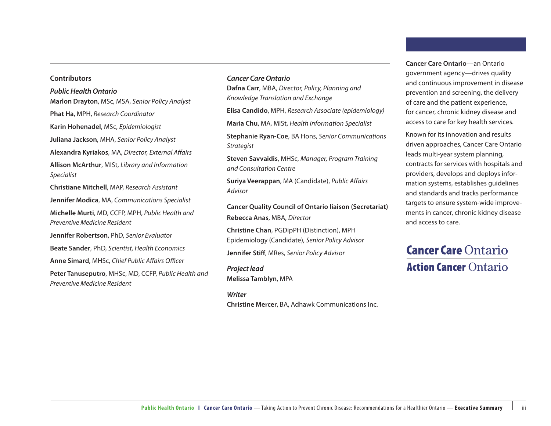#### **Contributors**

#### *Public Health Ontario*

**Marlon Drayton**, MSc, MSA, Senior Policy Analyst **Phat Ha**, MPH, Research Coordinator **Karin Hohenadel**, MSc, Epidemiologist **Juliana Jackson**, MHA, Senior Policy Analyst **Alexandra Kyriakos, MA, Director, External Affairs Allison McArthur**, MISt, Library and Information Specialist **Christiane Mitchell**, MAP, Research Assistant **Jennifer Modica**, MA, Communications Specialist **Michelle Murti**, MD, CCFP, MPH, Public Health and Preventive Medicine Resident

**Jennifer Robertson**, PhD, Senior Evaluator

**Beate Sander**, PhD, Scientist, Health Economics

**Anne Simard, MHSc, Chief Public Affairs Officer** 

**Peter Tanuseputro**, MHSc, MD, CCFP, Public Health and Preventive Medicine Resident

#### *Cancer Care Ontario*

**Dafna Carr**, MBA, Director, Policy, Planning and Knowledge Translation and Exchange

**Elisa Candido**, MPH, Research Associate (epidemiology)

**Maria Chu**, MA, MISt, Health Information Specialist

**Stephanie Ryan-Coe**, BA Hons, Senior Communications Strategist

**Steven Savvaidis**, MHSc, Manager, Program Training and Consultation Centre

**Suriya Veerappan, MA (Candidate), Public Affairs** Advisor

**Cancer Quality Council of Ontario liaison (Secretariat) Rebecca Anas**, MBA, Director

**Christine Chan**, PGDipPH (Distinction), MPH Epidemiology (Candidate), Senior Policy Advisor

**Jennifer Stiff**, MRes, Senior Policy Advisor

*Project lead* **Melissa Tamblyn**, MPA

*Writer***Christine Mercer**, BA, Adhawk Communications Inc. **Cancer Care Ontario**—an Ontario government agency—drives quality and continuous improvement in disease prevention and screening, the delivery of care and the patient experience, for cancer, chronic kidney disease and access to care for key health services.

Known for its innovation and results driven approaches, Cancer Care Ontario leads multi-year system planning, contracts for services with hospitals and providers, develops and deploys information systems, establishes guidelines and standards and tracks performance targets to ensure system-wide improvements in cancer, chronic kidney disease and access to care.

## **Cancer Care Ontario Action Cancer Ontario**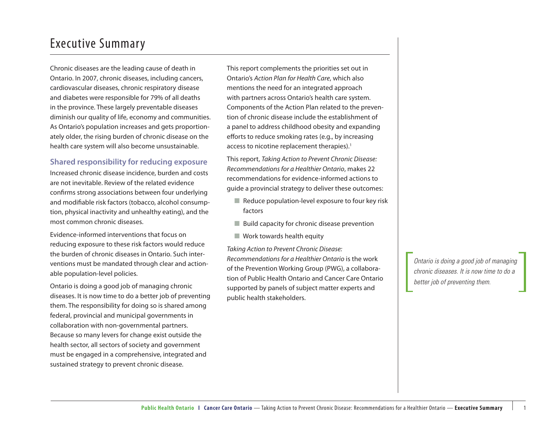### Executive Summary

Chronic diseases are the leading cause of death in Ontario. In 2007, chronic diseases, including cancers, cardiovascular diseases, chronic respiratory disease and diabetes were responsible for 79% of all deaths in the province. These largely preventable diseases diminish our quality of life, economy and communities. As Ontario's population increases and gets proportionately older, the rising burden of chronic disease on the health care system will also become unsustainable.

#### **Shared responsibility for reducing exposure**

Increased chronic disease incidence, burden and costs are not inevitable. Review of the related evidence confirms strong associations between four underlying and modifiable risk factors (tobacco, alcohol consumption, physical inactivity and unhealthy eating), and the most common chronic diseases.

Evidence-informed interventions that focus on reducing exposure to these risk factors would reduce the burden of chronic diseases in Ontario. Such interventions must be mandated through clear and actionable population-level policies.

Ontario is doing a good job of managing chronic diseases. It is now time to do a better job of preventing them. The responsibility for doing so is shared among federal, provincial and municipal governments in collaboration with non-governmental partners. Because so many levers for change exist outside the health sector, all sectors of society and government must be engaged in a comprehensive, integrated and sustained strategy to prevent chronic disease.

This report complements the priorities set out in Ontario's Action Plan for Health Care, which also mentions the need for an integrated approach with partners across Ontario's health care system. Components of the Action Plan related to the prevention of chronic disease include the establishment of a panel to address childhood obesity and expanding efforts to reduce smoking rates (e.g., by increasing access to nicotine replacement therapies).<sup>1</sup>

This report, Taking Action to Prevent Chronic Disease: Recommendations for a Healthier Ontario, makes 22 recommendations for evidence-informed actions to guide a provincial strategy to deliver these outcomes:

- $\blacksquare$  Reduce population-level exposure to four key risk factors
- Build capacity for chronic disease prevention
- Work towards health equity

Taking Action to Prevent Chronic Disease: Recommendations for a Healthier Ontario is the work of the Prevention Working Group (PWG), a collaboration of Public Health Ontario and Cancer Care Ontario supported by panels of subject matter experts and public health stakeholders.

*Ontario is doing a good job of managing chronic diseases. It is now time to do a better job of preventing them.*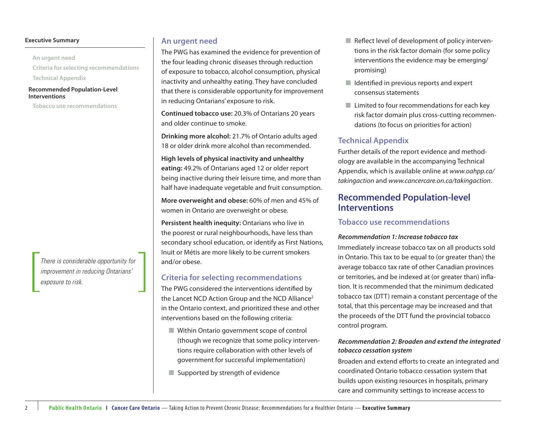#### **Executive Summary**

**An urgent need**

**Criteria for selecting recommendations**

**Technical Appendix**

#### **Recommended Population-Level Interventions**

**Tobacco use recommendations**

*There is considerable opportunity for improvement in reducing Ontarians' exposure to risk.*

#### **An urgent need**

The PWG has examined the evidence for prevention of the four leading chronic diseases through reduction of exposure to tobacco, alcohol consumption, physical inactivity and unhealthy eating. They have concluded that there is considerable opportunity for improvement in reducing Ontarians' exposure to risk.

**Continued tobacco use:** 20.3% of Ontarians 20 years and older continue to smoke.

**Drinking more alcohol:** 21.7% of Ontario adults aged 18 or older drink more alcohol than recommended.

**High levels of physical inactivity and unhealthy eating:** 49.2% of Ontarians aged 12 or older report being inactive during their leisure time, and more than half have inadequate vegetable and fruit consumption.

**More overweight and obese:** 60% of men and 45% of women in Ontario are overweight or obese.

**Persistent health inequity:** Ontarians who live in the poorest or rural neighbourhoods, have less than secondary school education, or identify as First Nations, Inuit or Métis are more likely to be current smokers and/or obese.

#### **Criteria for selecting recommendations**

The PWG considered the interventions identified by the Lancet NCD Action Group and the NCD Alliance<sup>2</sup> in the Ontario context, and prioritized these and other interventions based on the following criteria:

- Within Ontario government scope of control (though we recognize that some policy interventions require collaboration with other levels of government for successful implementation)
- Supported by strength of evidence
- $\blacksquare$  Reflect level of development of policy interventions in the risk factor domain (for some policy interventions the evidence may be emerging/ promising)
- $\blacksquare$  Identified in previous reports and expert consensus statements
- Limited to four recommendations for each key risk factor domain plus cross-cutting recommendations (to focus on priorities for action)

#### **Technical Appendix**

Further details of the report evidence and methodology are available in the accompanying Technical Appendix, which is available online at www.oahpp.ca/ takingaction and www.cancercare.on.ca/takingaction.

#### **Recommended Population-level Interventions**

#### **Tobacco use recommendations**

#### *Recommendation 1: Increase tobacco tax*

Immediately increase tobacco tax on all products sold in Ontario. This tax to be equal to (or greater than) the average tobacco tax rate of other Canadian provinces or territories, and be indexed at (or greater than) inflation. It is recommended that the minimum dedicated tobacco tax (DTT) remain a constant percentage of the total, that this percentage may be increased and that the proceeds of the DTT fund the provincial tobacco control program.

#### *Recommendation 2: Broaden and extend the integrated tobacco cessation system*

Broaden and extend efforts to create an integrated and coordinated Ontario tobacco cessation system that builds upon existing resources in hospitals, primary care and community settings to increase access to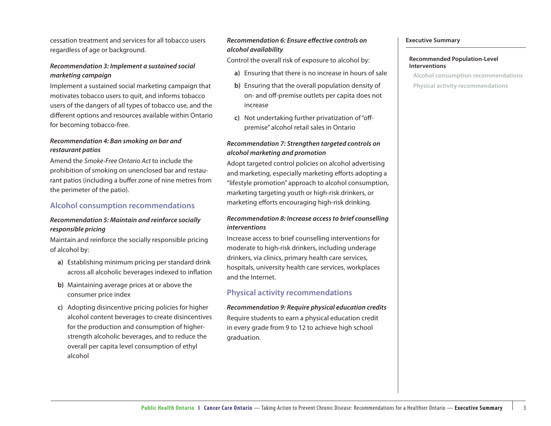cessation treatment and services for all tobacco users regardless of age or background.

#### *Recommendation 3: Implement a sustained social marketing campaign*

Implement a sustained social marketing campaign that motivates tobacco users to quit, and informs tobacco users of the dangers of all types of tobacco use, and the different options and resources available within Ontario for becoming tobacco-free.

#### *Recommendation 4: Ban smoking on bar and restaurant patios*

Amend the Smoke-Free Ontario Act to include the prohibition of smoking on unenclosed bar and restaurant patios (including a buffer zone of nine metres from the perimeter of the patio).

#### **Alcohol consumption recommendations**

#### *Recommendation 5: Maintain and reinforce socially responsible pricing*

Maintain and reinforce the socially responsible pricing of alcohol by:

- **a)** Establishing minimum pricing per standard drink across all alcoholic beverages indexed to inflation
- **b)** Maintaining average prices at or above the consumer price index
- **c)** Adopting disincentive pricing policies for higher alcohol content beverages to create disincentives for the production and consumption of higherstrength alcoholic beverages, and to reduce the overall per capita level consumption of ethyl alcohol

#### *Recommendation 6: Ensure effective controls on alcohol availability*

Control the overall risk of exposure to alcohol by:

- **a)** Ensuring that there is no increase in hours of sale
- **b)** Ensuring that the overall population density of on- and off -premise outlets per capita does not increase
- **c**) Not undertaking further privatization of "offpremise" alcohol retail sales in Ontario

#### *Recommendation 7: Strengthen targeted controls on alcohol marketing and promotion*

Adopt targeted control policies on alcohol advertising and marketing, especially marketing efforts adopting a "lifestyle promotion" approach to alcohol consumption, marketing targeting youth or high-risk drinkers, or marketing efforts encouraging high-risk drinking.

#### *Recommendation 8: Increase access to brief counselling interventions*

Increase access to brief counselling interventions for moderate to high-risk drinkers, including underage drinkers, via clinics, primary health care services, hospitals, university health care services, workplaces and the Internet.

#### **Physical activity recommendations**

*Recommendation 9: Require physical education credits* Require students to earn a physical education credit in every grade from 9 to 12 to achieve high school graduation.

#### **Executive Summary**

#### **Recommended Population-Level Interventions**

**Alcohol consumption recommendations**

**Physical activity recommendations**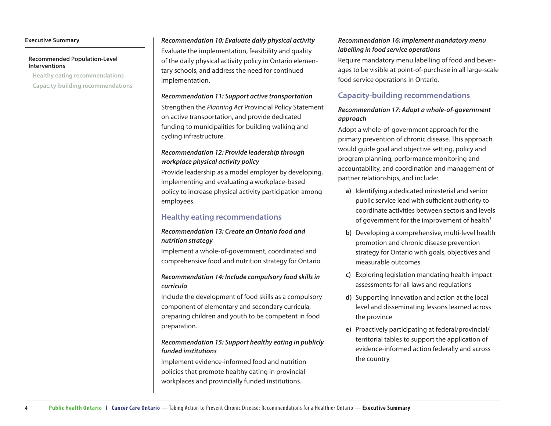#### **Executive Summary**

4

#### **Recommended Population-Level Interventions**

**Healthy eating recommendations Capacity-building recommendations**

#### *Recommendation 10: Evaluate daily physical activity*

Evaluate the implementation, feasibility and quality of the daily physical activity policy in Ontario elementary schools, and address the need for continued implementation.

#### *Recommendation 11: Support active transportation*

Strengthen the Planning Act Provincial Policy Statement on active transportation, and provide dedicated funding to municipalities for building walking and cycling infrastructure.

#### *Recommendation 12: Provide leadership through workplace physical activity policy*

Provide leadership as a model employer by developing, implementing and evaluating a workplace-based policy to increase physical activity participation among employees.

#### **Healthy eating recommendations**

#### *Recommendation 13: Create an Ontario food and nutrition strategy*

Implement a whole-of-government, coordinated and comprehensive food and nutrition strategy for Ontario.

#### *Recommendation 14: Include compulsory food skills in curricula*

Include the development of food skills as a compulsory component of elementary and secondary curricula, preparing children and youth to be competent in food preparation.

#### *Recommendation 15: Support healthy eating in publicly funded institutions*

Implement evidence-informed food and nutrition policies that promote healthy eating in provincial workplaces and provincially funded institutions.

#### *Recommendation 16: Implement mandatory menu labelling in food service operations*

Require mandatory menu labelling of food and beverages to be visible at point-of-purchase in all large-scale food service operations in Ontario.

#### **Capacity-building recommendations**

#### *Recommendation 17: Adopt a whole-of-government approach*

Adopt a whole-of-government approach for the primary prevention of chronic disease. This approach would guide goal and objective setting, policy and program planning, performance monitoring and accountability, and coordination and management of partner relationships, and include:

- **a)** Identifying a dedicated ministerial and senior public service lead with sufficient authority to coordinate activities between sectors and levels of government for the improvement of health $3$
- **b)** Developing a comprehensive, multi-level health promotion and chronic disease prevention strategy for Ontario with goals, objectives and measurable outcomes
- **c)** Exploring legislation mandating health-impact assessments for all laws and regulations
- **d)** Supporting innovation and action at the local level and disseminating lessons learned across the province
- **e)** Proactively participating at federal/provincial/ territorial tables to support the application of evidence-informed action federally and across the country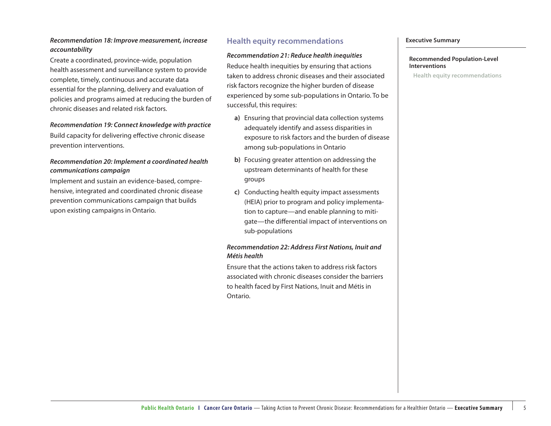#### *Recommendation 18: Improve measurement, increase accountability*

Create a coordinated, province-wide, population health assessment and surveillance system to provide complete, timely, continuous and accurate data essential for the planning, delivery and evaluation of policies and programs aimed at reducing the burden of chronic diseases and related risk factors.

#### *Recommendation 19: Connect knowledge with practice*

Build capacity for delivering effective chronic disease prevention interventions.

#### *Recommendation 20: Implement a coordinated health communications campaign*

Implement and sustain an evidence-based, comprehensive, integrated and coordinated chronic disease prevention communications campaign that builds upon existing campaigns in Ontario.

#### **Health equity recommendations**

#### *Recommendation 21: Reduce health inequities*

Reduce health inequities by ensuring that actions taken to address chronic diseases and their associated risk factors recognize the higher burden of disease experienced by some sub-populations in Ontario. To be successful, this requires:

- **a)** Ensuring that provincial data collection systems adequately identify and assess disparities in exposure to risk factors and the burden of disease among sub-populations in Ontario
- **b)** Focusing greater attention on addressing the upstream determinants of health for these groups
- **c)** Conducting health equity impact assessments (HEIA) prior to program and policy implementation to capture—and enable planning to mitigate—the differential impact of interventions on sub-populations

#### *Recommendation 22: Address First Nations, Inuit and Métis health*

Ensure that the actions taken to address risk factors associated with chronic diseases consider the barriers to health faced by First Nations, Inuit and Métis in Ontario.

#### **Executive Summary**

#### **Recommended Population-Level Interventions**

**Health equity recommendations**